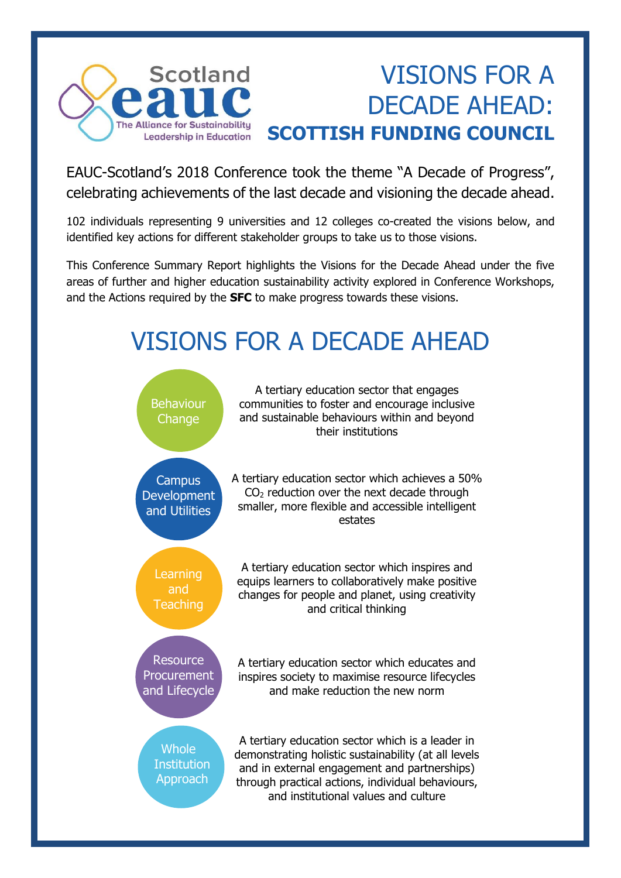

# VISIONS FOR A DECADE AHEAD: **SCOTTISH FUNDING COUNCIL**

EAUC-Scotland's 2018 Conference took the theme "A Decade of Progress", celebrating achievements of the last decade and visioning the decade ahead.

102 individuals representing 9 universities and 12 colleges co-created the visions below, and identified key actions for different stakeholder groups to take us to those visions.

This Conference Summary Report highlights the Visions for the Decade Ahead under the five areas of further and higher education sustainability activity explored in Conference Workshops, and the Actions required by the **SFC** to make progress towards these visions.

# VISIONS FOR A DECADE AHEAD